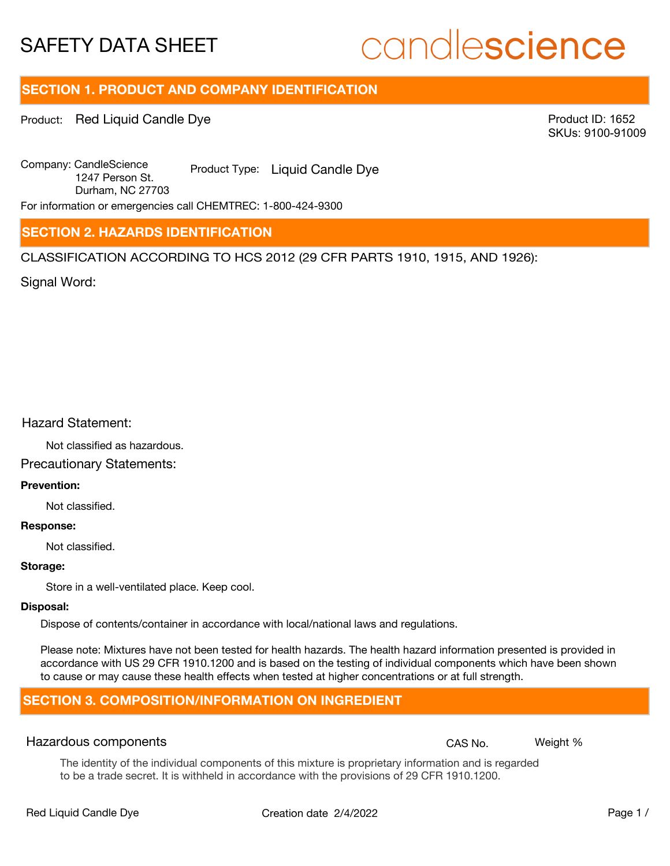# candlescience

## **SECTION 1. PRODUCT AND COMPANY IDENTIFICATION**

Product: Red Liquid Candle Dye

Product ID: 1652 SKUs: 9100-91009

Company: Candle Science Product Type: Liquid Candle Dye 1247 Person St. Durham, NC 27703

For information or emergencies call CHEMTREC: 1-800-424-9300

## **SECTION 2. HAZARDS IDENTIFICATION**

CLASSIFICATION ACCORDING TO HCS 2012 (29 CFR PARTS 1910, 1915, AND 1926):

Signal Word:

## Hazard Statement:

Not classified as hazardous.

## Precautionary Statements:

## **Prevention:**

Not classified.

#### **Response:**

Not classified.

#### **Storage:**

Store in a well-ventilated place. Keep cool.

#### **Disposal:**

Dispose of contents/container in accordance with local/national laws and regulations.

Please note: Mixtures have not been tested for health hazards. The health hazard information presented is provided in accordance with US 29 CFR 1910.1200 and is based on the testing of individual components which have been shown to cause or may cause these health effects when tested at higher concentrations or at full strength.

## **SECTION 3. COMPOSITION/INFORMATION ON INGREDIENT**

## Hazardous components **CAS No. Weight %** and CAS No. Weight %

The identity of the individual components of this mixture is proprietary information and is regarded to be a trade secret. It is withheld in accordance with the provisions of 29 CFR 1910.1200.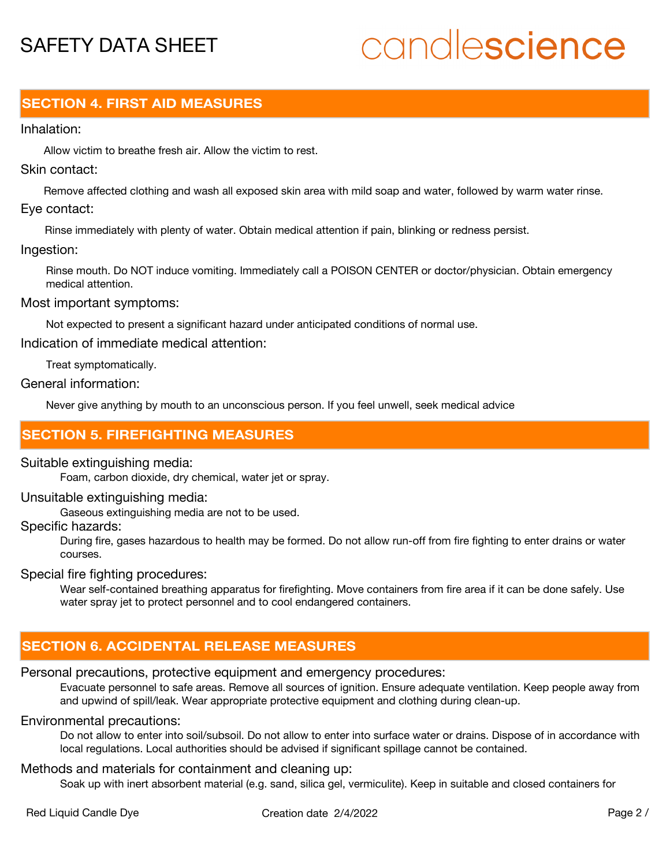# candlescience

## **SECTION 4. FIRST AID MEASURES**

## Inhalation:

Allow victim to breathe fresh air. Allow the victim to rest.

## Skin contact:

Remove affected clothing and wash all exposed skin area with mild soap and water, followed by warm water rinse. Eye contact:

Rinse immediately with plenty of water. Obtain medical attention if pain, blinking or redness persist.

## Ingestion:

Rinse mouth. Do NOT induce vomiting. Immediately call a POISON CENTER or doctor/physician. Obtain emergency medical attention.

## Most important symptoms:

Not expected to present a significant hazard under anticipated conditions of normal use.

Indication of immediate medical attention:

Treat symptomatically.

## General information:

Never give anything by mouth to an unconscious person. If you feel unwell, seek medical advice

## **SECTION 5. FIREFIGHTING MEASURES**

## Suitable extinguishing media:

Foam, carbon dioxide, dry chemical, water jet or spray.

## Unsuitable extinguishing media:

Gaseous extinguishing media are not to be used.

## Specific hazards:

During fire, gases hazardous to health may be formed. Do not allow run-off from fire fighting to enter drains or water courses.

## Special fire fighting procedures:

Wear self-contained breathing apparatus for firefighting. Move containers from fire area if it can be done safely. Use water spray jet to protect personnel and to cool endangered containers.

## **SECTION 6. ACCIDENTAL RELEASE MEASURES**

## Personal precautions, protective equipment and emergency procedures:

Evacuate personnel to safe areas. Remove all sources of ignition. Ensure adequate ventilation. Keep people away from and upwind of spill/leak. Wear appropriate protective equipment and clothing during clean-up.

## Environmental precautions:

Do not allow to enter into soil/subsoil. Do not allow to enter into surface water or drains. Dispose of in accordance with local regulations. Local authorities should be advised if significant spillage cannot be contained.

## Methods and materials for containment and cleaning up:

Soak up with inert absorbent material (e.g. sand, silica gel, vermiculite). Keep in suitable and closed containers for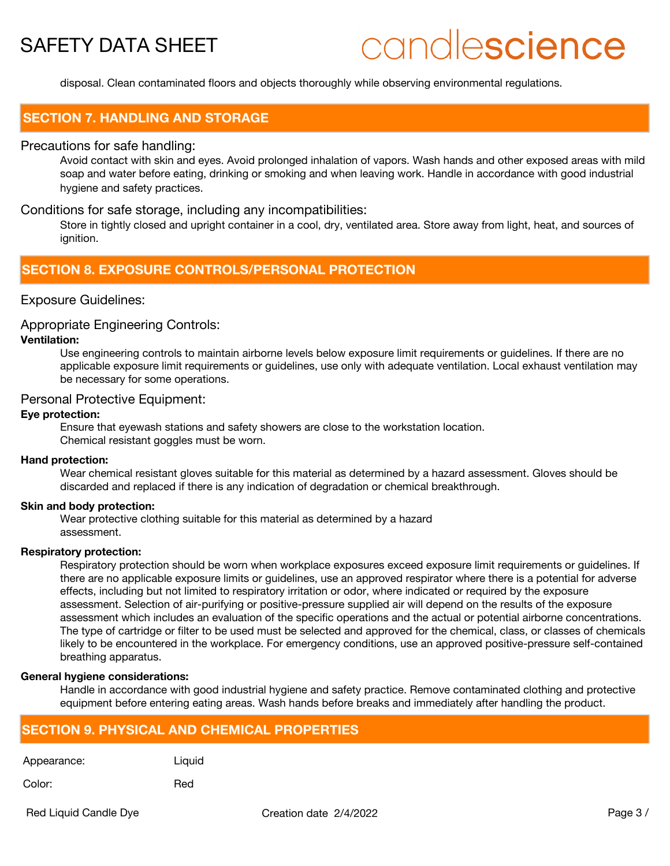# candlescience

disposal. Clean contaminated floors and objects thoroughly while observing environmental regulations.

## **SECTION 7. HANDLING AND STORAGE**

## Precautions for safe handling:

Avoid contact with skin and eyes. Avoid prolonged inhalation of vapors. Wash hands and other exposed areas with mild soap and water before eating, drinking or smoking and when leaving work. Handle in accordance with good industrial hygiene and safety practices.

## Conditions for safe storage, including any incompatibilities:

Store in tightly closed and upright container in a cool, dry, ventilated area. Store away from light, heat, and sources of ignition.

## **SECTION 8. EXPOSURE CONTROLS/PERSONAL PROTECTION**

## Exposure Guidelines:

#### Appropriate Engineering Controls:

## **Ventilation:**

Use engineering controls to maintain airborne levels below exposure limit requirements or guidelines. If there are no applicable exposure limit requirements or guidelines, use only with adequate ventilation. Local exhaust ventilation may be necessary for some operations.

## Personal Protective Equipment:

### **Eye protection:**

Ensure that eyewash stations and safety showers are close to the workstation location. Chemical resistant goggles must be worn.

#### **Hand protection:**

Wear chemical resistant gloves suitable for this material as determined by a hazard assessment. Gloves should be discarded and replaced if there is any indication of degradation or chemical breakthrough.

#### **Skin and body protection:**

Wear protective clothing suitable for this material as determined by a hazard assessment.

#### **Respiratory protection:**

Respiratory protection should be worn when workplace exposures exceed exposure limit requirements or guidelines. If there are no applicable exposure limits or guidelines, use an approved respirator where there is a potential for adverse effects, including but not limited to respiratory irritation or odor, where indicated or required by the exposure assessment. Selection of air-purifying or positive-pressure supplied air will depend on the results of the exposure assessment which includes an evaluation of the specific operations and the actual or potential airborne concentrations. The type of cartridge or filter to be used must be selected and approved for the chemical, class, or classes of chemicals likely to be encountered in the workplace. For emergency conditions, use an approved positive-pressure self-contained breathing apparatus.

#### **General hygiene considerations:**

Handle in accordance with good industrial hygiene and safety practice. Remove contaminated clothing and protective equipment before entering eating areas. Wash hands before breaks and immediately after handling the product.

## **SECTION 9. PHYSICAL AND CHEMICAL PROPERTIES**

Appearance: Liquid

Color: Red

Red Liquid Candle Dye **Creation date 2/4/2022** Page 3 /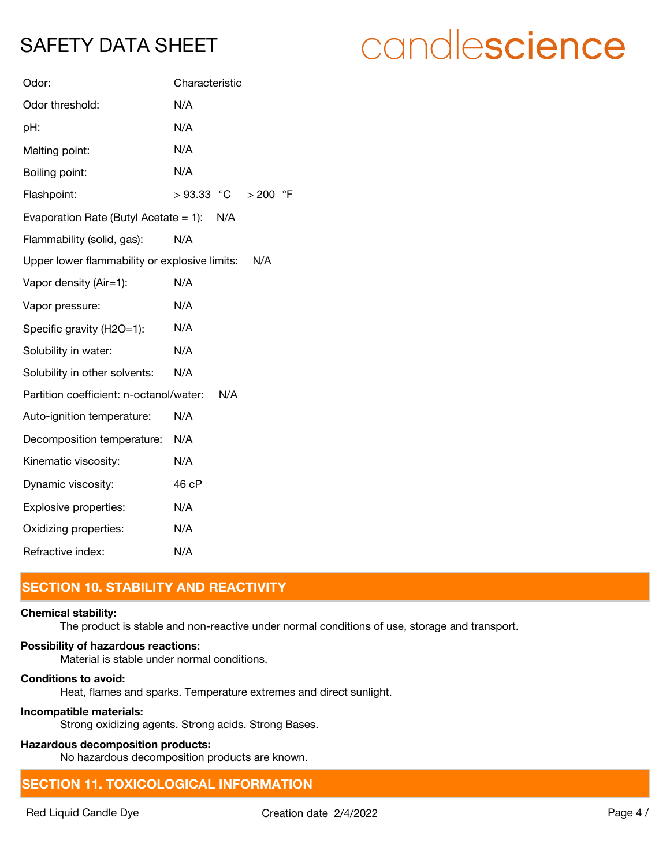| Odor:                                           | Characteristic                    |
|-------------------------------------------------|-----------------------------------|
| Odor threshold:                                 | N/A                               |
| pH:                                             | N/A                               |
| Melting point:                                  | N/A                               |
| Boiling point:                                  | N/A                               |
| Flashpoint:                                     | $>93.33$ °C<br>> 200<br>$\circ$ F |
| Evaporation Rate (Butyl Acetate $= 1$ ):<br>N/A |                                   |
| Flammability (solid, gas):                      | N/A                               |
| Upper lower flammability or explosive limits:   | N/A                               |
| Vapor density (Air=1):                          | N/A                               |
| Vapor pressure:                                 | N/A                               |
| Specific gravity (H2O=1):                       | N/A                               |
| Solubility in water:                            | N/A                               |
| Solubility in other solvents:                   | N/A                               |
| Partition coefficient: n-octanol/water:         | N/A                               |
| Auto-ignition temperature:                      | N/A                               |
| Decomposition temperature:                      | N/A                               |
| Kinematic viscosity:                            | N/A                               |
| Dynamic viscosity:                              | 46 cP                             |
| Explosive properties:                           | N/A                               |
| Oxidizing properties:                           | N/A                               |
| Refractive index:                               | N/A                               |

## **SECTION 10. STABILITY AND REACTIVITY**

## **Chemical stability:**

The product is stable and non-reactive under normal conditions of use, storage and transport.

## **Possibility of hazardous reactions:**

Material is stable under normal conditions.

## **Conditions to avoid:**

Heat, flames and sparks. Temperature extremes and direct sunlight.

## **Incompatible materials:**

Strong oxidizing agents. Strong acids. Strong Bases.

## **Hazardous decomposition products:**

No hazardous decomposition products are known.

## **SECTION 11. TOXICOLOGICAL INFORMATION**

# candlescience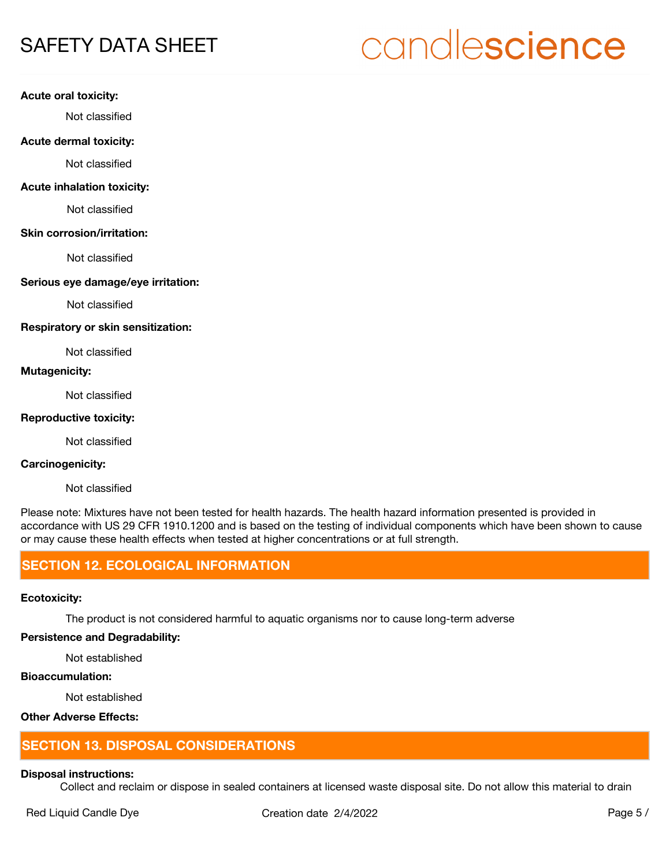# candlescience

#### **Acute oral toxicity:**

Not classified

#### **Acute dermal toxicity:**

Not classified

## **Acute inhalation toxicity:**

Not classified

#### **Skin corrosion/irritation:**

Not classified

## **Serious eye damage/eye irritation:**

Not classified

#### **Respiratory or skin sensitization:**

Not classified

## **Mutagenicity:**

Not classified

## **Reproductive toxicity:**

Not classified

## **Carcinogenicity:**

Not classified

Please note: Mixtures have not been tested for health hazards. The health hazard information presented is provided in accordance with US 29 CFR 1910.1200 and is based on the testing of individual components which have been shown to cause or may cause these health effects when tested at higher concentrations or at full strength.

## **SECTION 12. ECOLOGICAL INFORMATION**

## **Ecotoxicity:**

The product is not considered harmful to aquatic organisms nor to cause long-term adverse

### **Persistence and Degradability:**

Not established

## **Bioaccumulation:**

Not established

## **Other Adverse Effects:**

## **SECTION 13. DISPOSAL CONSIDERATIONS**

## **Disposal instructions:**

Collect and reclaim or dispose in sealed containers at licensed waste disposal site. Do not allow this material to drain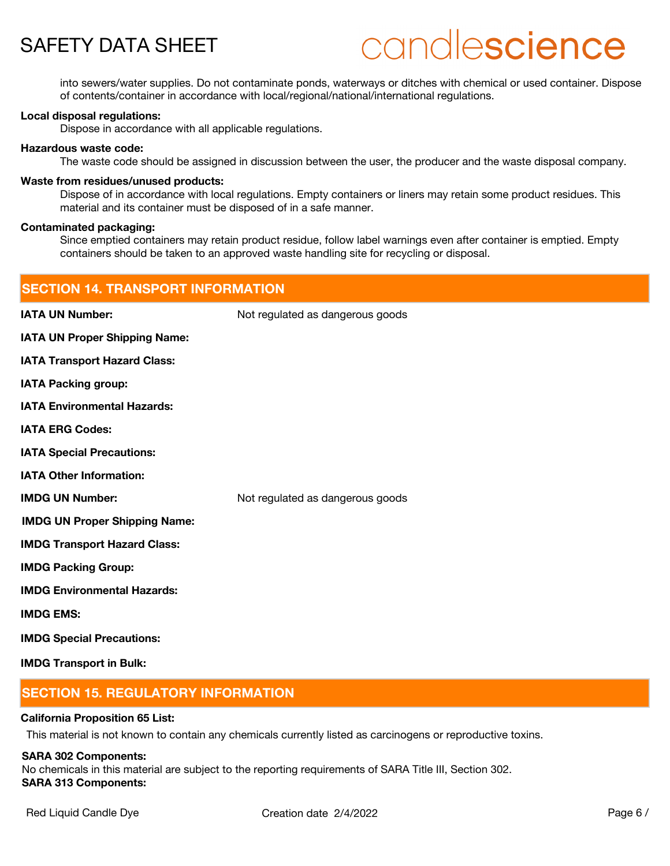# candlescience

into sewers/water supplies. Do not contaminate ponds, waterways or ditches with chemical or used container. Dispose of contents/container in accordance with local/regional/national/international regulations.

#### **Local disposal regulations:**

Dispose in accordance with all applicable regulations.

#### **Hazardous waste code:**

The waste code should be assigned in discussion between the user, the producer and the waste disposal company.

#### **Waste from residues/unused products:**

Dispose of in accordance with local regulations. Empty containers or liners may retain some product residues. This material and its container must be disposed of in a safe manner.

#### **Contaminated packaging:**

Since emptied containers may retain product residue, follow label warnings even after container is emptied. Empty containers should be taken to an approved waste handling site for recycling or disposal.

| <b>SECTION 14. TRANSPORT INFORMATION</b> |                                  |
|------------------------------------------|----------------------------------|
| <b>IATA UN Number:</b>                   | Not regulated as dangerous goods |
| <b>IATA UN Proper Shipping Name:</b>     |                                  |
| <b>IATA Transport Hazard Class:</b>      |                                  |
| <b>IATA Packing group:</b>               |                                  |
| <b>IATA Environmental Hazards:</b>       |                                  |
| <b>IATA ERG Codes:</b>                   |                                  |
| <b>IATA Special Precautions:</b>         |                                  |
| <b>IATA Other Information:</b>           |                                  |
| <b>IMDG UN Number:</b>                   | Not regulated as dangerous goods |
| <b>IMDG UN Proper Shipping Name:</b>     |                                  |
| <b>IMDG Transport Hazard Class:</b>      |                                  |
| <b>IMDG Packing Group:</b>               |                                  |
| <b>IMDG Environmental Hazards:</b>       |                                  |
| <b>IMDG EMS:</b>                         |                                  |
| <b>IMDG Special Precautions:</b>         |                                  |
| <b>IMDG Transport in Bulk:</b>           |                                  |

## **SECTION 15. REGULATORY INFORMATION**

## **California Proposition 65 List:**

This material is not known to contain any chemicals currently listed as carcinogens or reproductive toxins.

#### **SARA 302 Components:**

No chemicals in this material are subject to the reporting requirements of SARA Title III, Section 302. **SARA 313 Components:**